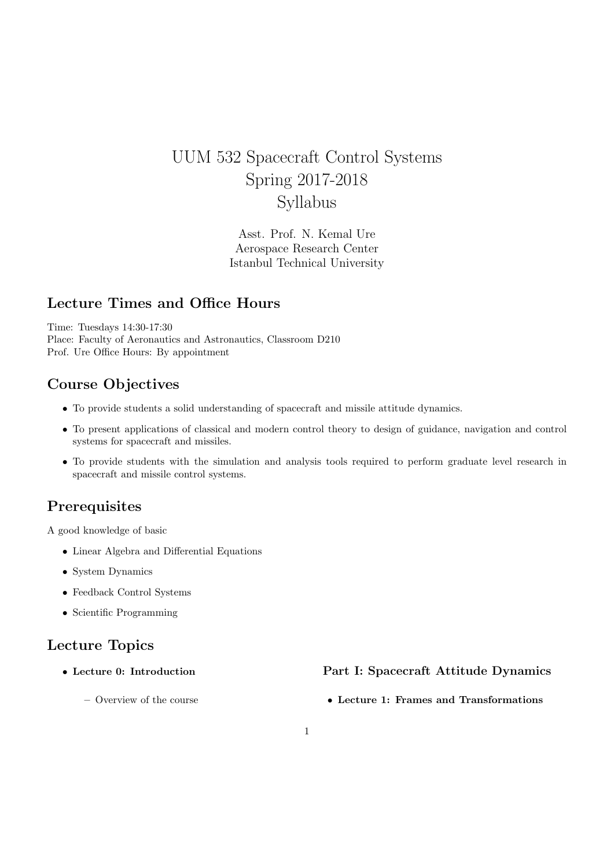# UUM 532 Spacecraft Control Systems Spring 2017-2018 Syllabus

Asst. Prof. N. Kemal Ure Aerospace Research Center Istanbul Technical University

## Lecture Times and Office Hours

Time: Tuesdays 14:30-17:30 Place: Faculty of Aeronautics and Astronautics, Classroom D210 Prof. Ure Office Hours: By appointment

## Course Objectives

- To provide students a solid understanding of spacecraft and missile attitude dynamics.
- To present applications of classical and modern control theory to design of guidance, navigation and control systems for spacecraft and missiles.
- To provide students with the simulation and analysis tools required to perform graduate level research in spacecraft and missile control systems.

## **Prerequisites**

A good knowledge of basic

- Linear Algebra and Differential Equations
- System Dynamics
- Feedback Control Systems
- Scientific Programming

## Lecture Topics

• Lecture 0: Introduction

Part I: Spacecraft Attitude Dynamics

– Overview of the course

• Lecture 1: Frames and Transformations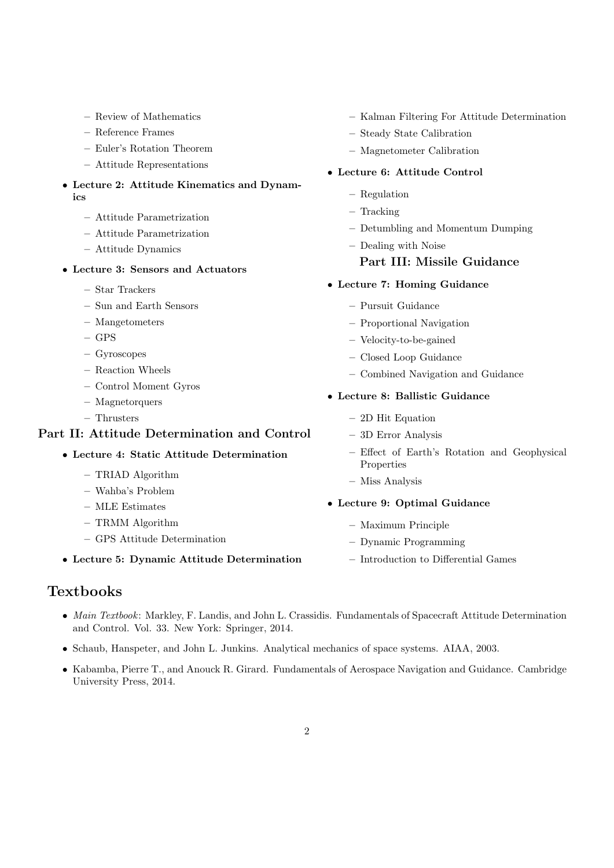- Review of Mathematics
- Reference Frames
- Euler's Rotation Theorem
- Attitude Representations
- Lecture 2: Attitude Kinematics and Dynamics
	- Attitude Parametrization
	- Attitude Parametrization
	- Attitude Dynamics

### • Lecture 3: Sensors and Actuators

- Star Trackers
- Sun and Earth Sensors
- Mangetometers
- GPS
- Gyroscopes
- Reaction Wheels
- Control Moment Gyros
- Magnetorquers
- Thrusters

### Part II: Attitude Determination and Control

#### • Lecture 4: Static Attitude Determination

- TRIAD Algorithm
- Wahba's Problem
- MLE Estimates
- TRMM Algorithm
- GPS Attitude Determination
- Lecture 5: Dynamic Attitude Determination

## Textbooks

- Kalman Filtering For Attitude Determination
- Steady State Calibration
- Magnetometer Calibration

### • Lecture 6: Attitude Control

- Regulation
- Tracking
- Detumbling and Momentum Dumping
- Dealing with Noise

### Part III: Missile Guidance

- Lecture 7: Homing Guidance
	- Pursuit Guidance
	- Proportional Navigation
	- Velocity-to-be-gained
	- Closed Loop Guidance
	- Combined Navigation and Guidance

#### • Lecture 8: Ballistic Guidance

- 2D Hit Equation
- 3D Error Analysis
- Effect of Earth's Rotation and Geophysical Properties
- Miss Analysis
- Lecture 9: Optimal Guidance
	- Maximum Principle
	- Dynamic Programming
	- Introduction to Differential Games
- Main Textbook: Markley, F. Landis, and John L. Crassidis. Fundamentals of Spacecraft Attitude Determination and Control. Vol. 33. New York: Springer, 2014.
- Schaub, Hanspeter, and John L. Junkins. Analytical mechanics of space systems. AIAA, 2003.
- Kabamba, Pierre T., and Anouck R. Girard. Fundamentals of Aerospace Navigation and Guidance. Cambridge University Press, 2014.